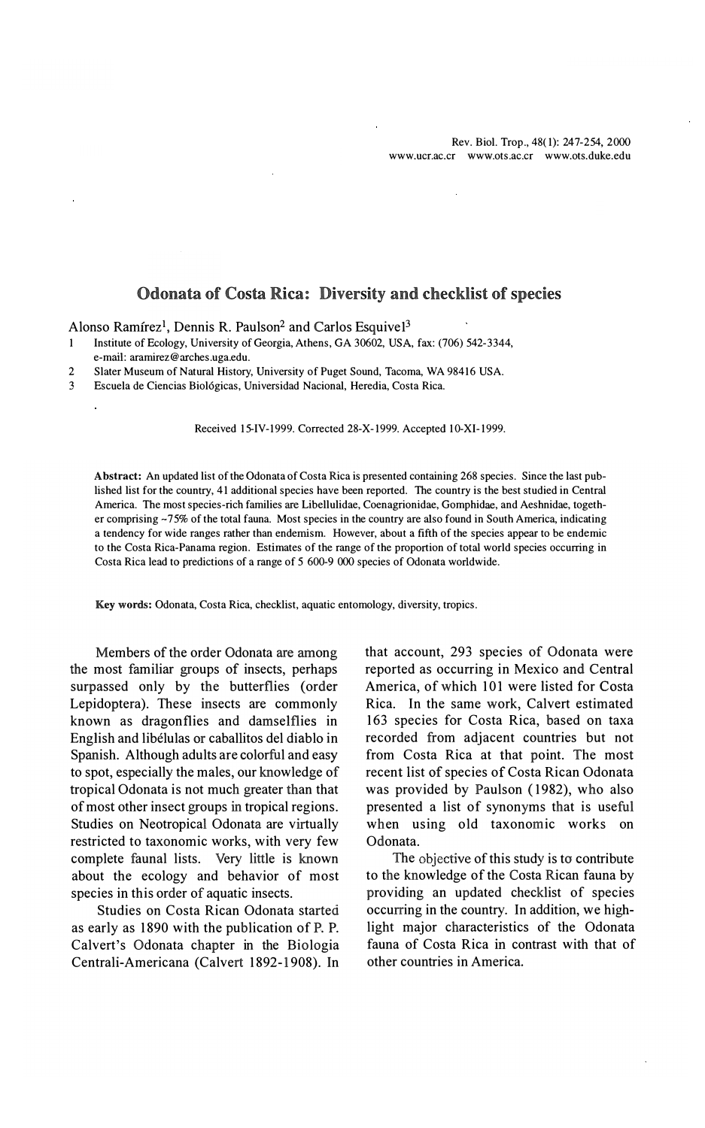# Odonata of Costa Rica: Diversity and checklist of species

Alonso Ramírez<sup>1</sup>, Dennis R. Paulson<sup>2</sup> and Carlos Esquivel<sup>3</sup>

1 Institute of Ecology, University of Georgia, Athens, GA 30602, USA, fax: (706) 542-3344, e-mai!: aramirez@arches.uga.edu.

2 Slater Museum of Natural History, University of Puget Sound, Tacoma, WA 98416 USA.

3 Escuela de Ciencias Biológicas, Universidad Nacional, Heredia, Costa Rica.

Received 15-IV-1999. Corrected 28-X-1999. Accepted 10-XI-1999.

Abstract: An updated list of the Odonata of Costa Rica is presented containing 268 species. Since the last published list for the country, 41 additional species have been reported. The country is the best studied in Central America. The most species-rich families are Libellulidae, Coenagrionidae, Gomphidae, and Aeshnidae, together comprising  $-75\%$  of the total fauna. Most species in the country are also found in South America, indicating a tendency for wide ranges rather than endemism. However, about a fifth of the species appear to be endemic to the Costa Rica-Panama region. Estimates of the range of the proportion of total world species occurring in Costa Rica lead to predictions of a range of 5 600-9 000 species of Odonata worldwide.

Key words: Odonata, Costa Rica, checklist, aquatic entomology, diversity, tropics.

Members of the order Odonata are among the most familiar groups of insects, perhaps surpassed only by the butierflies (order Lepidoptera). These insects are commonly known as dragonflies and damselflies in English and libélulas or caballitos del diablo in Spanish. Although adults are colorful and easy to spot, especially the males, our knowledge of tropical Odonata is not much greater than that of most other insect groups in tropical regions. Studies on Neotropical Odonata are virtually restricted to taxonomic works, with very few complete faunal lists. Very little is known about the ecology and behavior of most species in this order of aquatic insects.

Studies on Costa Rican Odonata started as eariy as 1890 with the publication of P. P. Calvert's Odonata chapter in the Biología Centrali-Americana (Calvert 1892-1908). In that account, 293 species of Odonata were reported as occurring in Mexico and Central America, of which 101 were listed for Costa Rica. In the same work, Calvert estimated 163 species for Costa Rica, based on taxa recorded from adjacent countries but not from Costa Rica at that point. The most recent list of species of Costa Rican Odonata was provided by Paulson (1982), who also presented a list of synonyms that is useful when using old taxonomic works on Odonata.

The objective of this study is to contribute to the knowledge of the Costa Rican fauna by providing an updated checklist of species occurring in the country. In addition, we highlight major characteristics of the Odonata fauna of Costa Rica in contrast with that of other countries in America.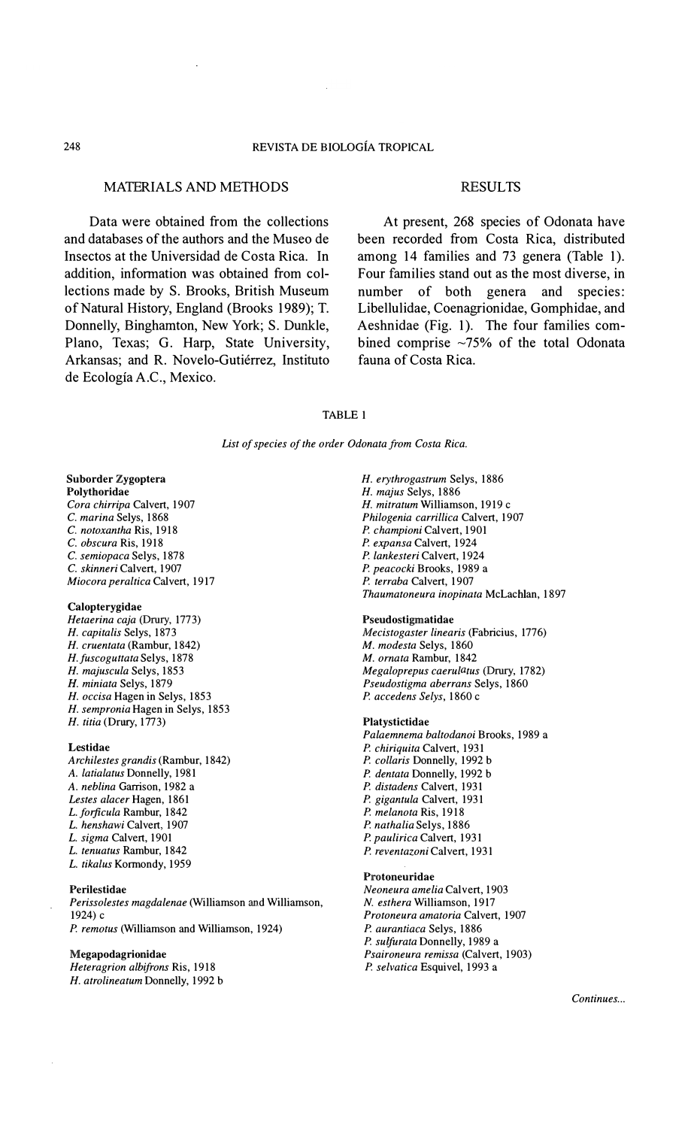# MATERIALS AND METHODS

Data were obtained from the collections and databases of the authors and the Museo de Insectos at the Universidad de Costa Rica. In addition, information was obtained from collections made by S. Brooks, British Museum of Natural History, England (Brooks 1989); T. Donnelly, Binghamton, New York; S. Dunkle, Plano, Texas; G. Harp, State University, Arkansas; and R. Novelo-Gutiérrez, Instituto de Ecología A.C., Mexico.

# RESULTS

At present, 268 species of Odonata have been recorded from Costa Rica, distributed among 14 families and 73 genera (Table 1). Four families stand out as the most diverse, in number of both genera and species: Libellulidae, Coenagrionidae, Gomphidae, and Aeshnidae (Fig. 1). The four families combined comprise  $\sim$ 75% of the total Odonata fauna of Costa Rica.

# TABLE 1

List of species of the order Odonata from Costa Rica.

### Suborder Zygoptera Polythoridae

Cora chirripa Calvert, 1907 C. marina Selys, 1868 C. notoxantha Ris, 1918 C. obscura Ris, 1918 C. semiopaca Selys, 1878 C. skinneri Calvert, 1907 Miocora peraltica Calvert, 1917

### Calopterygidae

Hetaerina caja (Drury, 1773) H. capitalis Selys, 1873 H. cruentata (Rambur, 1842) H. fuscoguttata Selys, 1878 H. majuscula Selys, 1853 H. miniata Selys, 1879 H. occisa Hagen in Selys, 1853 H. sempronia Hagen in Selys, 1853 H. titia (Drury, 1773)

#### Lestidae

Archilestes grandis (Rambur, 1842) A. latialatus Donnelly, 1981 A. neblina Garrison, 1982 a Lestes alacer Hagen, 1861 L. forficula Rambur, 1842 L. henshawi Calvert, 1907 L. sigma Calvert, 1901 L. tenuatus Rambur, 1842 L. tikalus Kormondy, 1959

#### Perilestidae

Perissolestes magdalenae (Williamson and Williamson, 1924) <sup>e</sup> P. remotus (Williamson and Williamson, 1924)

#### Megapodagrionidae

Heteragrion albifrons Ris, 1918 H. atrolineatum Donnelly, 1992 b H. erythrogastrum Selys, 1886 H. majus Selys, 1886 H. mitratum Williamson, 1919 c Philogenia carrillica Calvert, 1907 P. championi Calvert, 1901 P. expansa Calvert, 1924 P. lankesteri Calvert, 1924 P. peacocki Brooks, 1989 a P. terraba Calvert, 1907 Thaumatoneura inopinata McLachlan, 1897

### Pseudostigmatidae

Mecistogaster linearis (Fabricius, 1776) M. modesta Selys, 1860 M. omata Rambur, 1842 Megaloprepus caerulatus (Drury, 1782) Pseudostigma aberrans Selys, 1860 P. accedens Selys, 1860 <sup>e</sup>

#### Platystictidae

Palaemnema baltodanoi Brooks, 1989 a P. chiriquita Calvert, 1931 P. collaris Donnelly, 1992 b P. dentata Donnelly, 1992 b P. distadens Calvert, 1931 P. gigantula Calvert, 1931 P. melanota Ris, 1918 P. nathalia Selys, 1886 P. paulirica Calvert, 1931 P. reventazoni Calvert, 1931

#### Protoneuridae

Neoneura amelia Calvert, 1903 N. esthera Williamson, 1917 Protoneura amatoria Calvert, 1907 P. aurantiaca Selys, 1886 P. sulfurata Donnelly, 1989 a Psaironeura remissa (Calvert, 1903) P. selvatica Esquivel, 1993 a

Continues...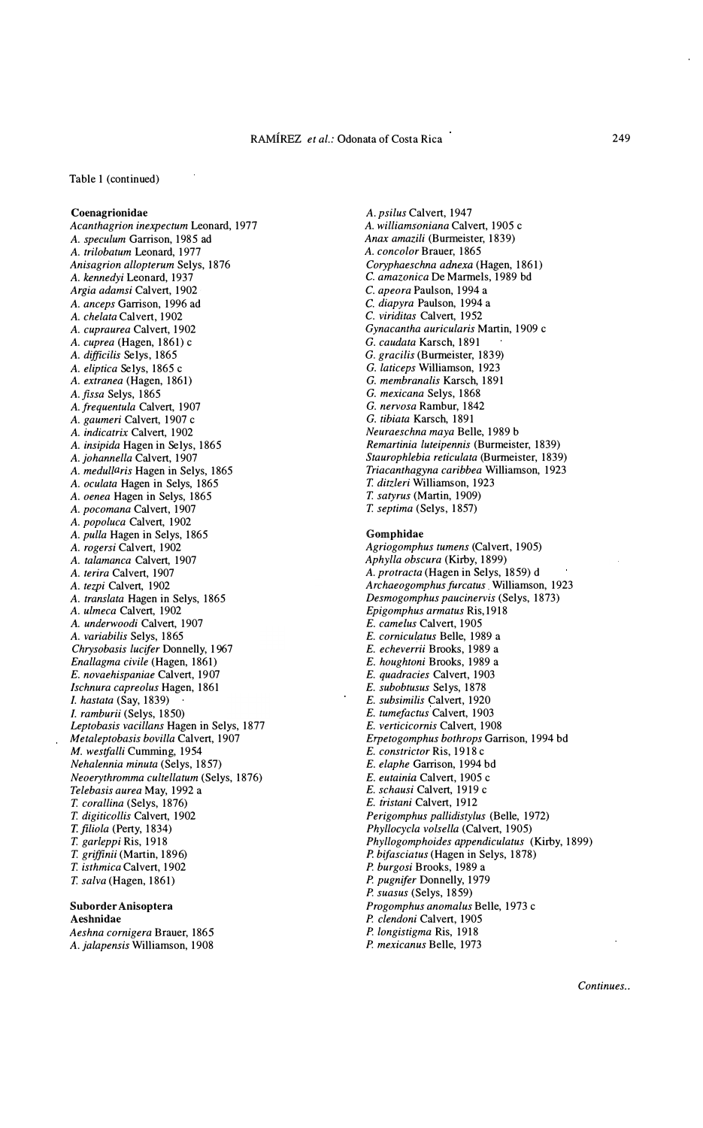### Table 1 (continued)

### Coenagrionidae

Acanthagrion inexpectum Leonard, 1977 A. speculum Garrison, 1985 ad A. trilobatum Leonard, 1977 Anisagrion allopterum Selys, 1876 A. kennedyi Leonard, 1937 Argia adamsi Calvert, 1902 ' A. anceps Garrison, 1996 ad A. chelata Calvert, 1902 A. cupraurea Calvert, 1902 A. cuprea (Hagen, 1861) <sup>e</sup> A. difficilis Se1ys, 1865 A. eliptica Se1ys, 1865 c A. exrranea (Hagen, 1861) A. fissa Selys, 1865 A. frequentula Calvert, 1907 A. gaumeri Calvert, 1907 c A. indicarrix Calvert, 1902 A. insipida Hagen in Se1ys, 1865 A. johannella Calvert, 1907 A. medullaris Hagen in Selys, 1865 A. oculata Hagen in Selys, 1865 A. oenea Hagen in Selys, 1865 A. pocomana Calvert, 1907 A. popoluca Calvert, 1902 A. pulla Hagen in Selys, 1865 A. rogersi Calvert, 1902 A. talamanca Calvert, 1907 A. terira Calvert, 1907 A. tezpi Calvert, 1902 A. translara Hagen in Selys, 1865 A. ulmeca Calvert, 1902 A. underwoodi Calvert, 1907 A. variabilis Selys, 1865 Chrysobasis lucifer Donnelly, 1967 Enallagma civile (Hagen, 1861) E. novaehispaniae Calvert, 1907 Ischnura capreolus Hagen, 1861 l. hastata (Say, 1839) l. ramburii (Selys, 1850) Leptobasis vacillans Hagen in Selys, 1877 Metaleptobasis bovilla Calvert, 1907 M. westfalli Cumming, 1954 Nehalennia minuta (Selys, 1857) Neoeryrhromma cultellatum (Selys, 1876) Telebasis aurea May, 1992 a T. corallina (Selys, 1876) T. digiticollis Calvert, 1902 T.filiola (Perty, 1834) T. garleppi Ris, 1918 T. griffinii (Martin, 1896) T. isthmica Calvert, 1902 T. salva (Hagen, 1861)

### Suborder Anisoptera Aeshnidae

Aeshna comigera Brauer, 1865 A. jalapensis Williamson, 1908

A. psilus Calvert, 1947 A. williamsoniana Calvert, 1905 c Anax amazili (Burmeister, 1839) A. concolor Brauer, 1865 Coryphaeschna adnexa (Hagen, 1861) C. amazonica De Marmels, 1989 bd C. apeora Paulson, 1994 a C. diapyra Paulson, 1994 a C. viriditas Calvert, 1952 Gynacantha auricularis Martin, 1909 c G. caudata Karsch, 1891 G. gracilis (Bunneister, 1839) G. laticeps Williamson, 1923 G. membranalis Karsch, 1891 G. mexicana Selys, 1868 G. nervosa Rambur, 1842 G. tibiata Karsch, 1891 Neuraeschna maya Belle, 1989 b Remartinia luteipennis (Burmeister, 1839) Staurophlebia reticulata (Burmeister, 1839) Triacanthagyna caribbea Williamson, 1923 T. ditzleri Williamson, 1923 T. satyrus (Martin, 1909) T. septima (Se1ys, 1857) Gomphidae Agriogomphus tumens (Calvert, 1905) Aphylla obscura (Kirby, 1899) A. protracta (Hagen in Selys, 1859) d Archaeogomphus furcatus Williamson, 1923 Desmogomphus paucinervis (Selys, 1873) Epigomphus armatus Ris,1918 E. camelus Calvert, 1905 E. comiculatus Belle, 1989 a E. echeverrii Brooks, 1989 a E. houghtoni Brooks, 1989 a E. quadracies Calvert, 1903 E. subobtusus Se1ys, 1878 E. subsimilis Calvert, 1920 E. tumefactus Calvert, 1903 E. verticicomis Calvert, 1908 Erpetogomphus bothrops Garrison, 1994 bd E. constrictor Ris, 1918 c E. elaphe Garrison, 1994 bd E. eutainia Calvert, 1905 c E. schausi Calvert, 1919 c E. iristani Calvert, 1912 Perigomphus pallidistylus (Belle, 1972) Phyllocycla volsella (Calvert, 1905) Phyllogomphoides appendiculatus (Kirby, 1899) P. bifasciatus (Hagen in Selys, 1878) P. burgosi Brooks, 1989 a P. pugnifer Donnelly, 1979 P. suasus (Selys, 1859) Progomphus anomalus Belle, 1973 c P. clendoni Calvert, 1905 P. longistigma Ris, 1918

P. mexicanus Belle, 1973

Continues..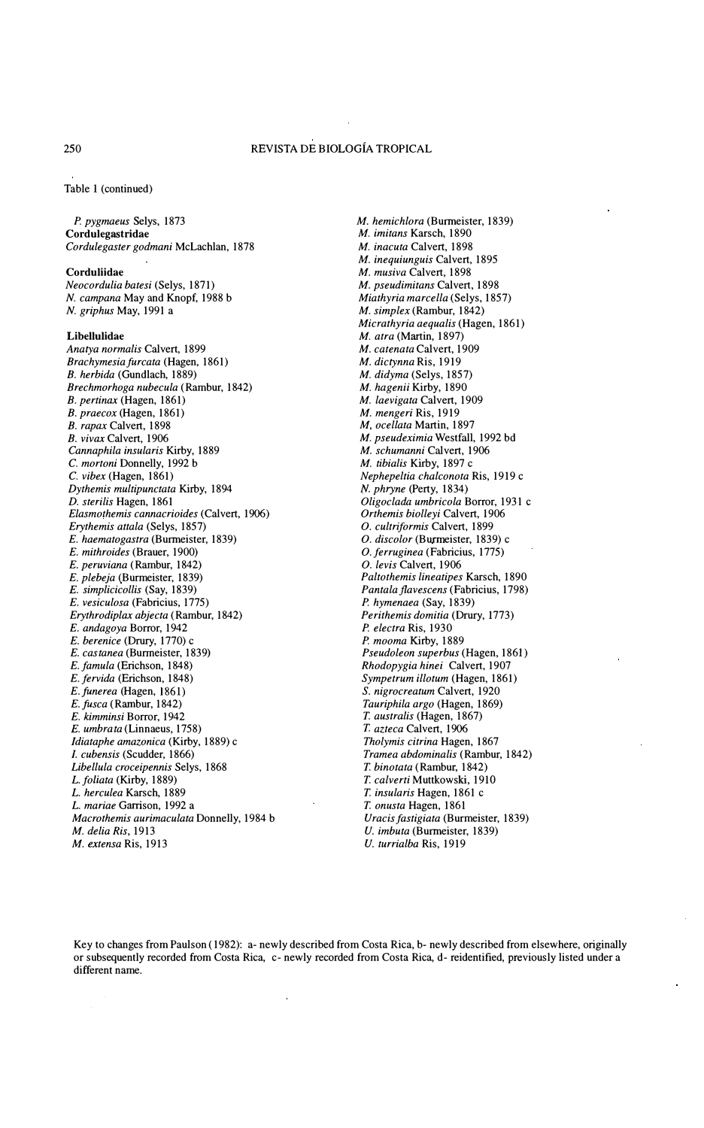Table I (continued)

P. pygmaeus Selys, 1873 Cordulegastridae Cordulegaster godmani McLachlan, 1878

Corduliidae Neocordulia batesi (Selys, 1871) N. campana May and Knopf, 1988 b N. griphus May, 1991 a

### Libellulidae

Anatya normalis Calvert, 1899 Brachymesia furcata (Hagen, 1861) B. herbida (Gundlach, 1889) Brechmorhoga nubecula (Rambur, 1842) B. pertinax (Hagen, 1861) B. praecox (Hagen, 1861) B. rapax Calvert, 1898 B. vivax Calvert, 1906 Cannaphila insularis Kirby, 1889 C. mortoni Donnelly, 1992 b C. vibex (Hagen, 1861) Dythemis multipunctata Kirby, 1894 D. sterilis Hagen, 1861 Elasmothemis cannacrioides (Calvert, 1906) Erythemis attala (Selys, 1857) E. haematogastra (Burmeister, 1839) E. mithroides (Brauer, 1900) E. peruviana (Rambur, 1842) E. plebeja (Burmeister, 1839) E. simplicicollis (Say, 1839) E. vesiculosa (Fabricius, 1775) Erythrodiplax abjecta (Rambur, 1842) E. andagoya Borror, 1942 E. berenice (Drury, 1770) c E. castanea (Burmeister, 1839) E. famula (Erichson. 1848) E. fervida (Erichson, 1848) E.funerea (Hagen, 1861) E.fusca (Rambur, 1842) E. kimminsi Borror, 1942 E. umbrata (Linnaeus, 1758) Idiataphe amazonica (Kirby, 1889) <sup>e</sup> J. cubensis (Scudder, 1866) Libellula croceipennis Selys, 1868 L. foliata (Kirby, 1889) L. herculea Karsch, 1889 L. mariae Garrison, 1992 a Macrothemis aurimaculata Donnelly, 1984 b M. delia Ris, 1913 M. extensa Ris, 1913

M. hemichlora (Burmeister, 1839) M. imitans Karsch, 1890 M. inacuta Calvert, 1898 M. inequiunguis Calvert, 1895 M. musiva Calvert, 1898 M. pseudimitans Calvert, 1898 Miathyria marcella (Selys, 1857) M. simplex (Rambur, 1842) Micrathyria aequalis (Hagen, 1861) M. atra (Martin, 1897) M. catenata Calvert, 1909 M. dictynna Ris, 1919 M. didyma (Selys, 1857) M. hagenii Kirby, 1890 M. laevigata Calvert, 1909 M. mengeri Ris, 1919 M. ocellata Martin, 1897 M. pseudeximia Westfall, 1992 bd M. schumanni Calvert, 1906 M. tibialis Kirby, 1897 <sup>e</sup> Nephepeltia cha/conota Ris, 1919 c N. phryne (Perty, 1834) Oligoclada umbricola Borror, 1931 c Orthemis biolleyi Calvert, 1906 O. cultriformis Calvert, 1899 O. discolor (Burrneister, 1839) c O. ferruginea (Fabricius, 1775) O. levís Calvert, 1906 Paltothemis lineatipes Karsch, 1890 Pantala flavescens (Fabricius, 1798) P. hymenaea (Say, 1839) Perithemis domitia (Drury, 1773) P. electra Ris, 1930 P. mooma Kirby, 1889 Pseudoleon superbus (Hagen, 1861) Rhodopygia hinei Calvert, 1907 Sympetrum illotum (Hagen. 1861) S. nigrocreatum Calvert, 1920 Tauriphila argo (Hagen, 1869) T. australis (Hagen, 1867) T. azteca Calvert, 1906 Tholymis citrina Hagen, 1867 Tramea abdominalis (Rambur, 1842) T. binotata (Rambur, 1842) T. calverti Muttkowski, 1910 T. insularis Hagen, 1861 c T. onusta Hagen, 1861 Uracis fastigiata (Burmeister, 1839) U. imbuta (Burmeister, 1839)

U. turrialba Ris, 1919

Key lo changes from Paulson (1982): a- newly described from Costa Rica, b- newly described from elsewhere, originally or subsequently recorded from Costa Rica, c- newly recorded from Costa Rica, d- reidentified, previously listed under a different name.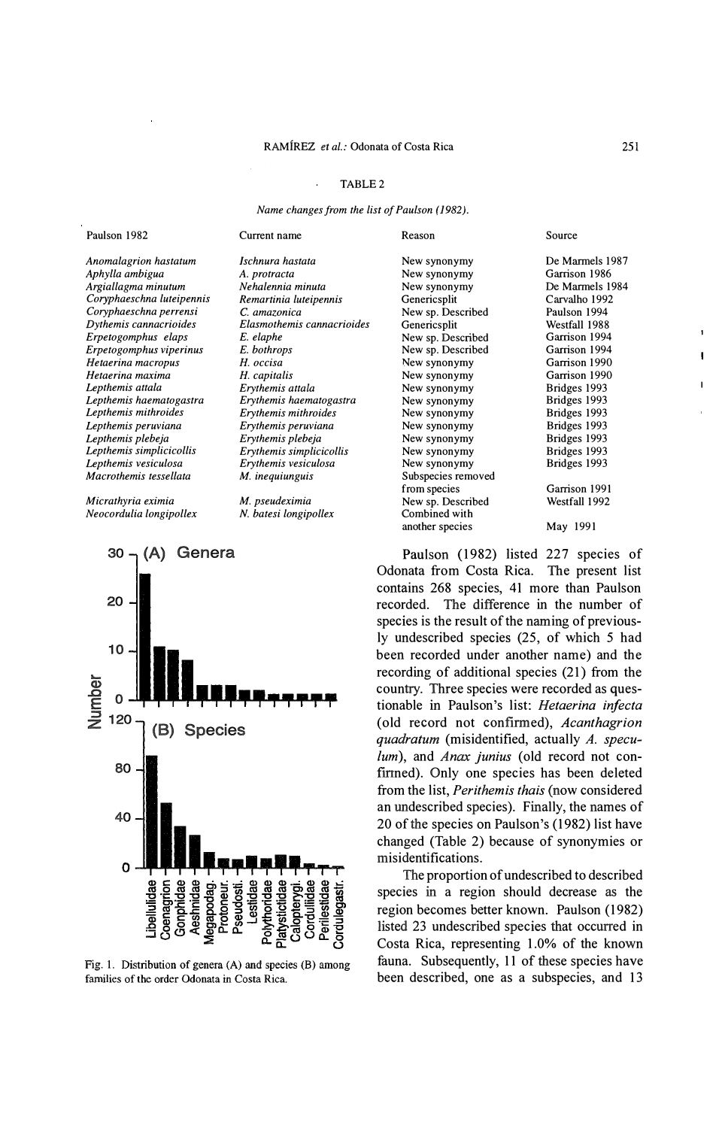# TABLE 2

Name changes from the list of Paulson (1982).

| Paulson 1982              | Current name               | Reason             | Source          |
|---------------------------|----------------------------|--------------------|-----------------|
| Anomalagrion hastatum     | Ischnura hastata           | New synonymy       | De Marmels 1987 |
| Aphylla ambigua           | A. protracta               | New synonymy       | Garrison 1986   |
| Argiallagma minutum       | Nehalennia minuta          | New synonymy       | De Marmels 1984 |
| Coryphaeschna luteipennis | Remartinia luteipennis     | Genericsplit       | Carvalho 1992   |
| Coryphaeschna perrensi    | C. amazonica               | New sp. Described  | Paulson 1994    |
| Dythemis cannacrioides    | Elasmothemis cannacrioides | Genericsplit       | Westfall 1988   |
| Erpetogomphus elaps       | E. elaphe                  | New sp. Described  | Garrison 1994   |
| Erpetogomphus viperinus   | E. bothrops                | New sp. Described  | Garrison 1994   |
| Hetaerina macropus        | H. occisa                  | New synonymy       | Garrison 1990   |
| Hetaerina maxima          | H. capitalis               | New synonymy       | Garrison 1990   |
| Lepthemis attala          | Erythemis attala           | New synonymy       | Bridges 1993    |
| Lepthemis haematogastra   | Erythemis haematogastra    | New synonymy       | Bridges 1993    |
| Lepthemis mithroides      | Erythemis mithroides       | New synonymy       | Bridges 1993    |
| Lepthemis peruviana       | Erythemis peruviana        | New synonymy       | Bridges 1993    |
| Lepthemis plebeja         | Erythemis plebeja          | New synonymy       | Bridges 1993    |
| Lepthemis simplicicollis  | Erythemis simplicicollis   | New synonymy       | Bridges 1993    |
| Lepthemis vesiculosa      | Erythemis vesiculosa       | New synonymy       | Bridges 1993    |
| Macrothemis tessellata    | M. inequiunguis            | Subspecies removed |                 |
|                           |                            | from species       | Garrison 1991   |
| Micrathyria eximia        | M. pseudeximia             | New sp. Described  | Westfall 1992   |
| Neocordulia longipollex   | N. batesi longipollex      | Combined with      |                 |
|                           |                            | another species    | May 1991        |

Paulson (1982) listed 227 species of Odonata from Costa Rica. The present list contains 268 species, 41 more than Paulson recorded. The difference in the number of species is the result of the naming of previously undescribed species (25, of which 5 had been recorded under another name) and the recording of additional species (21) from the country. Three species were recorded as questionable in Paulson's list: Hetaerina infecta (old record not confinned), Acanthagrion quadratum (misidentified, actually A. speculum), and *Anax junius* (old record not confirmed). Only one species has been deleted from the list, Perithemis thais (now considered an undescribed species). Finally, the names of 20 of the species on Paulson's (1982) list have changed (Table 2) because of synonymies or misidentifications.

The proportion of undescribed to described species in a region should decrease as the regíon becomes better known. Paulson (1982) listed 23 undescribed species that occurred in Costa Rica, representing 1.0% of the known fauna. Subsequently, 11 of these species have been described, one as a subspecies, and 13





Fig. 1. Distribution of genera (A) and species (B) among families of the order Odonata in Costa Rica.

f.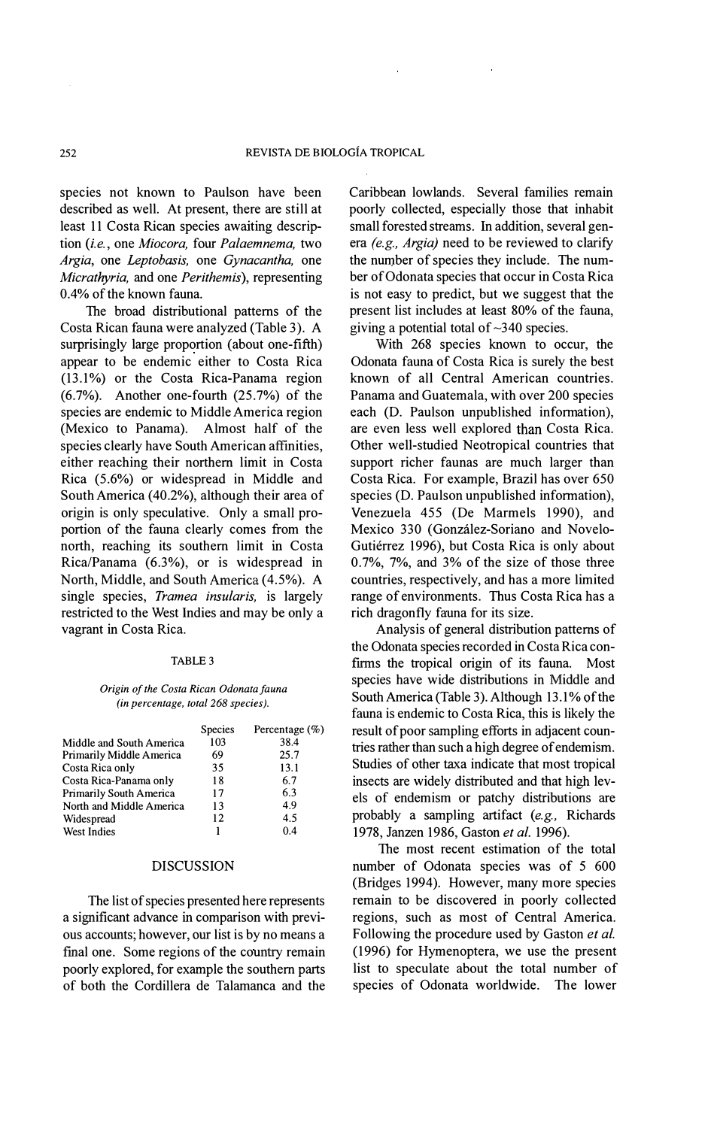species not known to Paulson have been described as well. At present, there are still at least 11 Costa Rican species awaiting description (i.e., one Miocora, four Palaemnema, two Argia, one Leptobasis, one Gynacantha, one Micrathyria, and one Perithemis), representing 0.4% of the known fauna.

The broad distributional pattems of the Costa Rican fauna were analyzed (Table 3). A surprisingly large proportion (about one-fifth) appear to be endemic either to Costa Rica (13.1%) or the Costa Rica-Panama regíon (6.7%). Another one-fourth (25.7%) of the species are endemic to Middle America region (Mexico to Panama). Almost half of the species clearly have South American affinities, either reaching their northem limit in Costa Rica (5.6%) or widespread in Middle and South America (40.2%), although their area of origin is only speculative. Only a small proportion of the fauna clearly comes from the north, reaching its southern limit in Costa Rica/Panama  $(6.3\%)$ , or is widespread in North, Middle, and South America (4.5%). A single species, Tramea insularis, is largely restricted to the West lndies and may be only a vagrant in Costa Rica.

#### TABLE 3

### Origin of the Costa Rican Odonata fauna (in percentage, total 268 species).

|                          | <b>Species</b> | Percentage $(\%)$ |
|--------------------------|----------------|-------------------|
| Middle and South America | 103            | 38.4              |
| Primarily Middle America | 69             | 25.7              |
| Costa Rica only          | 35             | 13.1              |
| Costa Rica-Panama only   | 18             | 6.7               |
| Primarily South America  | 17             | 6.3               |
| North and Middle America | 13             | 4.9               |
| Widespread               | 12             | 4.5               |
| <b>West Indies</b>       | 1              | 0.4               |

### DISCUSSION

The list of species presented here represents a significant advance in comparison with previous accounts; however, our list is by no means a final one. Some regions of the country remain poorly explored, for example the southem parts of both the Cordillera de Talamanca and the Caribbean lowlands. Several families remain poorly collected, especially those that inhabit small forested streams. In addition, several genera (e.g., Argia) need to be reviewed to clarify the number of species they include. The number of Odonata species that occur in Costa Rica is not easy to predict, but we suggest that the present list includes at least 80% of the fauna, giving a potential total of  $\sim$ 340 species.

With 268 species known to occur, the Odonata fauna of Costa Rica is surely the best known of al! Central American countries. Panama and Guatemala, with over 200 species each (D. Paulson unpublished information), are even less well explored than Costa Rica. Other well-studied Neotropical countries that support richer faunas are much larger than Costa Rica. For example, Brazil has over 650 species (D. Paulson unpublished information), Venezuela 455 (De Marmels 1990), and Mexico 330 (González-Soriano and Novelo-Gutiérrez 1996), but Costa Rica is only about 0.7%, 7%, and 3% of the size of those three countries, respectively, and has a more limited range of environments. Thus Costa Rica has a rich dragonfly fauna for íts size.

Analysis of general distribution pattems of the Odonata species recorded in Costa Rica confrrms the tropical origin of its fauna. Most species have wide distributions in Middle and South America (Table 3). Although 13.1% of the fauna is endemic to Costa Rica, this is likely the result of poor sampling efforts in adjacent countries rather than such a high degree of endemism. Studies of other taxa indicate that most tropical insects are widely distributed and that high levels of endemism or patchy distributions are probably a sampling artifact (e.g., Richards 1978, Janzen 1986, Gaston et al. 1996).

The most recent estimation of the total number of Odonata species was of 5 600 (Bridges 1994). However, many more species remain to be discovered in poorly collected regions, such as most of Central America. Following the procedure used by Gaston et al. (1996) for Hymenoptera, we use the present list to speculate about the total number of species of Odonata worldwide. The lower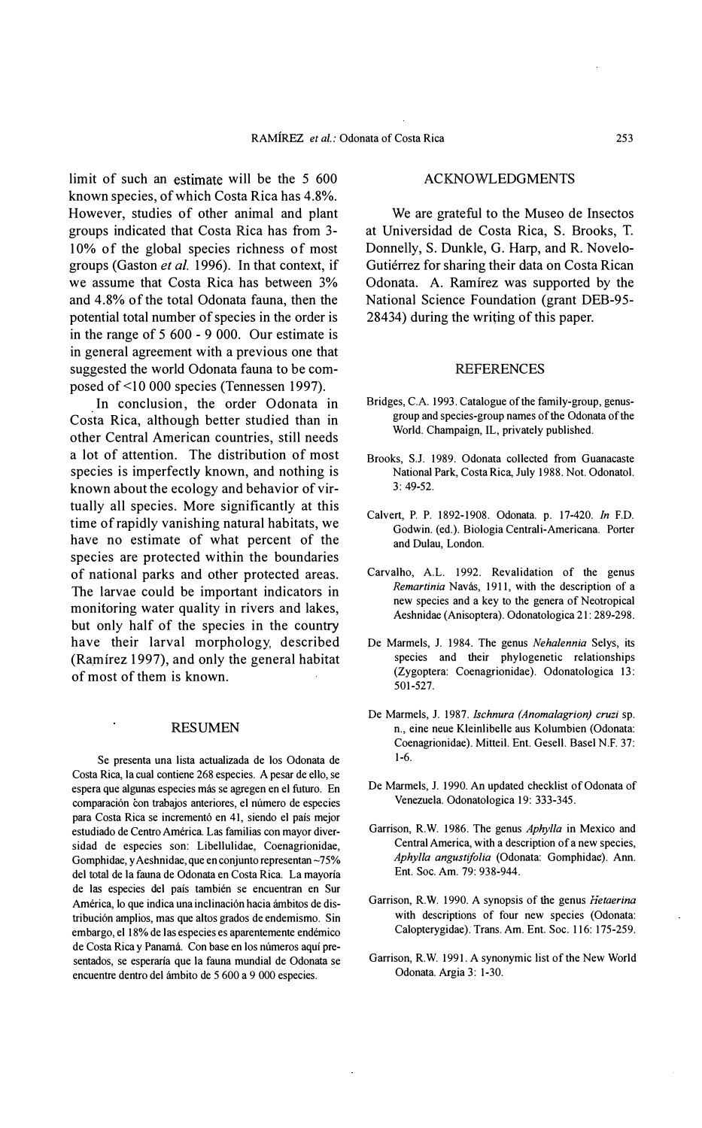limit of such an estímate will be the 5 600 known species, of which Costa Rica has 4.8%. However, studies of other animal and plant groups indicated that Costa Rica has from 3- 10% of the global species richness of most groups (Gaston et al. 1996). In that context, if we assume that Costa Rica has between 3% and 4.8% of the total Odonata fauna, then the potential total number of specíes in the order is in the range of 5 600 - 9 000. Our estímate is in general agreement with a previous one that suggested the world Odonata fauna to be composed of <10 000 species (Tennessen 1997).

. Costa Rica, although better studied than in In conclusion, the order Odonata in other Central American countries, still needs a lot of attention. The distribution of most species is imperfectly known, and nothing is known about the ecology and behavior of virtually all species. More significantly at this time of rapidly vanishing natural habitats, we have no estimate of what percent of the species are protected within the boundaries of national parks and other protected areas. The larvae could be important indicators in monitoring water quality in rivers and lakes, but only half of the species in the country have their larval morphology described (Ramírez 1997), and only the general habitat of most of them is known.

# RESUMEN

Se presenta una lista actualizada de los Odonata de Costa Rica, la cual contiene 268 especies. A pesar de ello, se espera que algunas especies más se agregen en el futuro. En comparación con trabajos anteriores, el número de especies para Costa Rica se incrementó en 41, siendo el país mejor estudiado de Centro América Las familias con mayor diversidad de especies son: Libellulidae, Coenagrionidae, Gomphidae, y Aeshnidae, que en conjunto representan ~75% del total de la fauna de Odonata en Costa Rica. La mayoría de las especies del país también se encuentran en Sur América, lo que indica una inclinación hacia ámbitos de distribución amplios, mas que altos grados de endemismo. Sin embargo, el 18% de las especies es aparentemente endémico de Costa Rica y Panamá. Con base en los números aquí presentados, se esperaría que la fauna mundial de Odonata se encuentre dentro del ámbito de 5 600 a 9 000 especies.

### ACKNOWLEDGMENTS

We are grateful to the Museo de Insectos at Universidad de Costa Rica, S. Brooks, T. Donnelly, S. Dunkle, G. Harp, and R. Novelo-Gutiérrez for sharing their data on Costa Rican Odonata. A. Ramírez was supported by the National Science Foundation (grant DEB-95-  $28434$ ) during the writing of this paper.

# REFERENCES

- Bridges, C.A. 1993. Catalogue of the family-group, genusgroup and species-group names of the Odonata of the World. Champaign, IL, privately published.
- Brooks, SJ. 1989. Odonata collected from Guanacaste National Park, Costa Rica, July 1988. Not. Odonatol. 3: 49-52.
- Calvert, P. P. 1892-1908. Odonata. p. 17-420. In EO. Godwin. (ed.). Biología Centrali-Americana. Porter and Oulau, London.
- Carvalho, AL. 1992. Revalidation of the genus Remartinia Navás, 1911, with the description of a new specíes and a key to the genera of Neotropical Aeshnidae (Anisoptera). Odonatologica 21: 289-298.
- De Marmels, J. 1984. The genus Nehalennia Selys, its species and their phylogenetic relationships (Zygoptera: Coenagrionidae). Odonatologica 13: 501-527.
- De Marmels, J. 1987. Ischnura (Anomalagrion) cruzi sp. n., eine neue Kleinlibelle aus Kolumbien (Odonata: Coenagrionidae). Mitteil. Ent. Gesell. Basel N.E 37: 1-6.
- De Marmels, J. 1990. An updated checklist of Odonata of Venezuela. Odonatologica 19: 333-345.
- Garrison, R.W. 1986. The genus Aphylla in Mexico and Central America, with a description of a new species, Aphylla angustifolia (Odonata: Gomphidae). Ann. Ent. Soc. Am. 79: 938-944.
- Garrison, R.W. 1990. A synopsis of the genus Hetaerina with descriptions of four new species (Odonata: Calopterygidae). Trans. Am. Ent. Soc. 116: 175-259.
- Garrison, R. W. 1991. A synonymic Iist of the New World Odonata. Argía 3: 1-30.